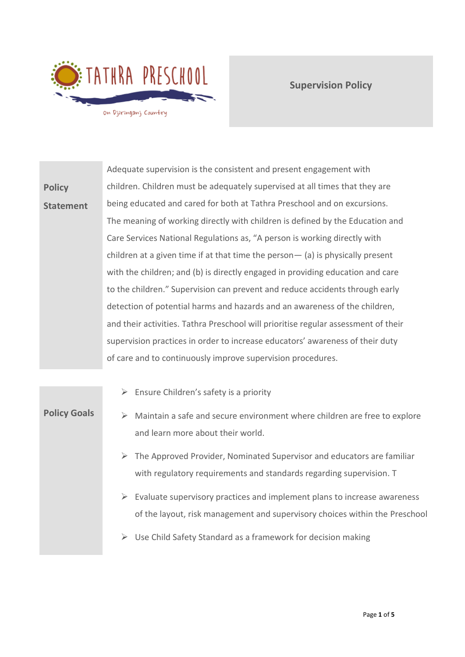

**Supervision Policy**

**Policy Statement** Adequate supervision is the consistent and present engagement with children. Children must be adequately supervised at all times that they are being educated and cared for both at Tathra Preschool and on excursions. The meaning of working directly with children is defined by the Education and Care Services National Regulations as, "A person is working directly with children at a given time if at that time the person— (a) is physically present with the children; and (b) is directly engaged in providing education and care to the children." Supervision can prevent and reduce accidents through early detection of potential harms and hazards and an awareness of the children, and their activities. Tathra Preschool will prioritise regular assessment of their supervision practices in order to increase educators' awareness of their duty of care and to continuously improve supervision procedures.

|                     | $\triangleright$ Ensure Children's safety is a priority                                                                                                      |
|---------------------|--------------------------------------------------------------------------------------------------------------------------------------------------------------|
| <b>Policy Goals</b> | Maintain a safe and secure environment where children are free to explore<br>and learn more about their world.                                               |
|                     | The Approved Provider, Nominated Supervisor and educators are familiar<br>➤<br>with regulatory requirements and standards regarding supervision. T           |
|                     | Evaluate supervisory practices and implement plans to increase awareness<br>➤<br>of the layout, risk management and supervisory choices within the Preschool |
|                     | Use Child Safety Standard as a framework for decision making<br>➤                                                                                            |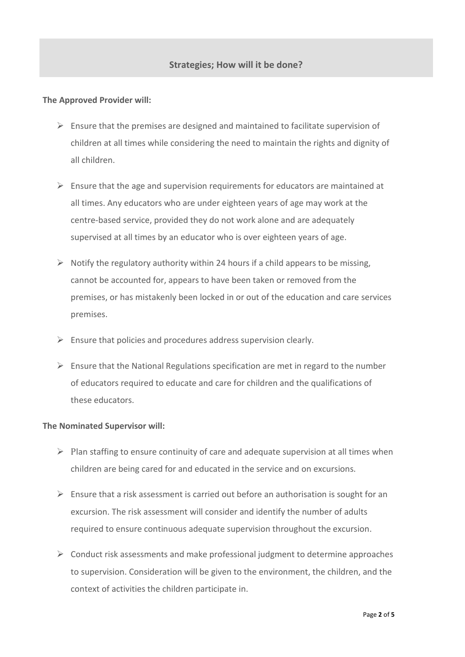## **The Approved Provider will:**

- $\triangleright$  Ensure that the premises are designed and maintained to facilitate supervision of children at all times while considering the need to maintain the rights and dignity of all children.
- $\triangleright$  Ensure that the age and supervision requirements for educators are maintained at all times. Any educators who are under eighteen years of age may work at the centre-based service, provided they do not work alone and are adequately supervised at all times by an educator who is over eighteen years of age.
- $\triangleright$  Notify the regulatory authority within 24 hours if a child appears to be missing, cannot be accounted for, appears to have been taken or removed from the premises, or has mistakenly been locked in or out of the education and care services premises.
- $\triangleright$  Ensure that policies and procedures address supervision clearly.
- $\triangleright$  Ensure that the National Regulations specification are met in regard to the number of educators required to educate and care for children and the qualifications of these educators.

## **The Nominated Supervisor will:**

- $\triangleright$  Plan staffing to ensure continuity of care and adequate supervision at all times when children are being cared for and educated in the service and on excursions.
- ➢ Ensure that a risk assessment is carried out before an authorisation is sought for an excursion. The risk assessment will consider and identify the number of adults required to ensure continuous adequate supervision throughout the excursion.
- ➢ Conduct risk assessments and make professional judgment to determine approaches to supervision. Consideration will be given to the environment, the children, and the context of activities the children participate in.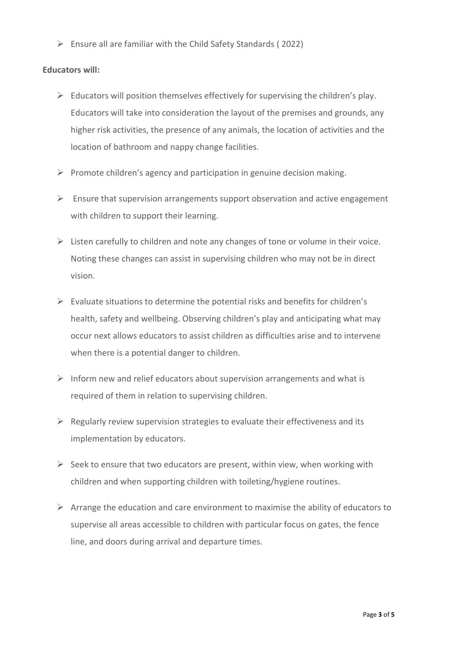$\triangleright$  Ensure all are familiar with the Child Safety Standards (2022)

## **Educators will:**

- $\triangleright$  Educators will position themselves effectively for supervising the children's play. Educators will take into consideration the layout of the premises and grounds, any higher risk activities, the presence of any animals, the location of activities and the location of bathroom and nappy change facilities.
- $\triangleright$  Promote children's agency and participation in genuine decision making.
- $\triangleright$  Ensure that supervision arrangements support observation and active engagement with children to support their learning.
- $\triangleright$  Listen carefully to children and note any changes of tone or volume in their voice. Noting these changes can assist in supervising children who may not be in direct vision.
- $\triangleright$  Evaluate situations to determine the potential risks and benefits for children's health, safety and wellbeing. Observing children's play and anticipating what may occur next allows educators to assist children as difficulties arise and to intervene when there is a potential danger to children.
- $\triangleright$  Inform new and relief educators about supervision arrangements and what is required of them in relation to supervising children.
- $\triangleright$  Regularly review supervision strategies to evaluate their effectiveness and its implementation by educators.
- $\triangleright$  Seek to ensure that two educators are present, within view, when working with children and when supporting children with toileting/hygiene routines.
- $\triangleright$  Arrange the education and care environment to maximise the ability of educators to supervise all areas accessible to children with particular focus on gates, the fence line, and doors during arrival and departure times.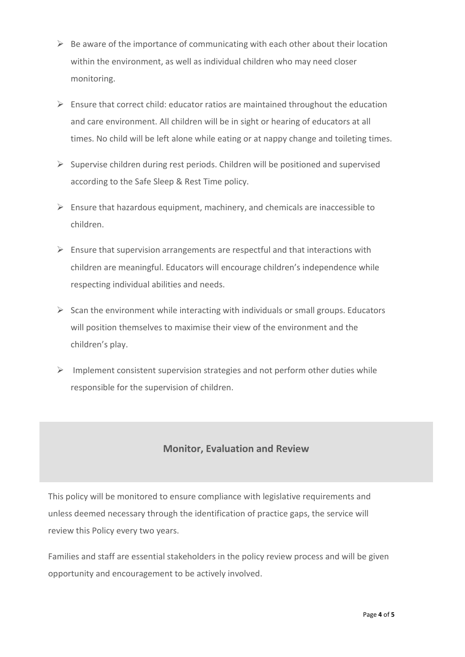- $\triangleright$  Be aware of the importance of communicating with each other about their location within the environment, as well as individual children who may need closer monitoring.
- $\triangleright$  Ensure that correct child: educator ratios are maintained throughout the education and care environment. All children will be in sight or hearing of educators at all times. No child will be left alone while eating or at nappy change and toileting times.
- $\triangleright$  Supervise children during rest periods. Children will be positioned and supervised according to the Safe Sleep & Rest Time policy.
- $\triangleright$  Ensure that hazardous equipment, machinery, and chemicals are inaccessible to children.
- $\triangleright$  Ensure that supervision arrangements are respectful and that interactions with children are meaningful. Educators will encourage children's independence while respecting individual abilities and needs.
- $\triangleright$  Scan the environment while interacting with individuals or small groups. Educators will position themselves to maximise their view of the environment and the children's play.
- $\triangleright$  Implement consistent supervision strategies and not perform other duties while responsible for the supervision of children.

## **Monitor, Evaluation and Review**

This policy will be monitored to ensure compliance with legislative requirements and unless deemed necessary through the identification of practice gaps, the service will review this Policy every two years.

Families and staff are essential stakeholders in the policy review process and will be given opportunity and encouragement to be actively involved.